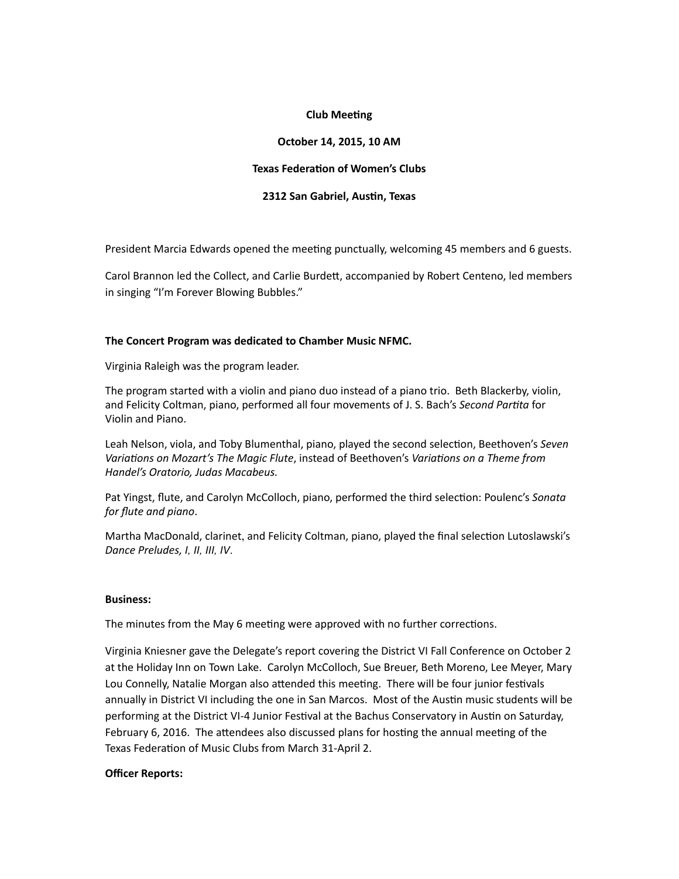# **Club Meeting**

# **October 14, 2015, 10 AM**

#### **Texas Federation of Women's Clubs**

## **2312 San Gabriel, Austin, Texas**

President Marcia Edwards opened the meeting punctually, welcoming 45 members and 6 guests.

Carol Brannon led the Collect, and Carlie Burdett, accompanied by Robert Centeno, led members in singing "I'm Forever Blowing Bubbles."

## The Concert Program was dedicated to Chamber Music NFMC.

Virginia Raleigh was the program leader.

The program started with a violin and piano duo instead of a piano trio. Beth Blackerby, violin, and Felicity Coltman, piano, performed all four movements of J. S. Bach's *Second Partita* for Violin and Piano.

Leah Nelson, viola, and Toby Blumenthal, piano, played the second selection, Beethoven's Seven *Variations on Mozart's The Magic Flute*, instead of Beethoven's *Variations on a Theme from Handel's Oratorio, Judas Macabeus.* 

Pat Yingst, flute, and Carolyn McColloch, piano, performed the third selection: Poulenc's *Sonata for flute and piano*. 

Martha MacDonald, clarinet, and Felicity Coltman, piano, played the final selection Lutoslawski's *Dance Preludes, I, II, III, IV*.

#### **Business:**

The minutes from the May 6 meeting were approved with no further corrections.

Virginia Kniesner gave the Delegate's report covering the District VI Fall Conference on October 2 at the Holiday Inn on Town Lake. Carolyn McColloch, Sue Breuer, Beth Moreno, Lee Meyer, Mary Lou Connelly, Natalie Morgan also attended this meeting. There will be four junior festivals annually in District VI including the one in San Marcos. Most of the Austin music students will be performing at the District VI-4 Junior Festival at the Bachus Conservatory in Austin on Saturday, February 6, 2016. The attendees also discussed plans for hosting the annual meeting of the Texas Federation of Music Clubs from March 31-April 2.

#### **Officer Reports:**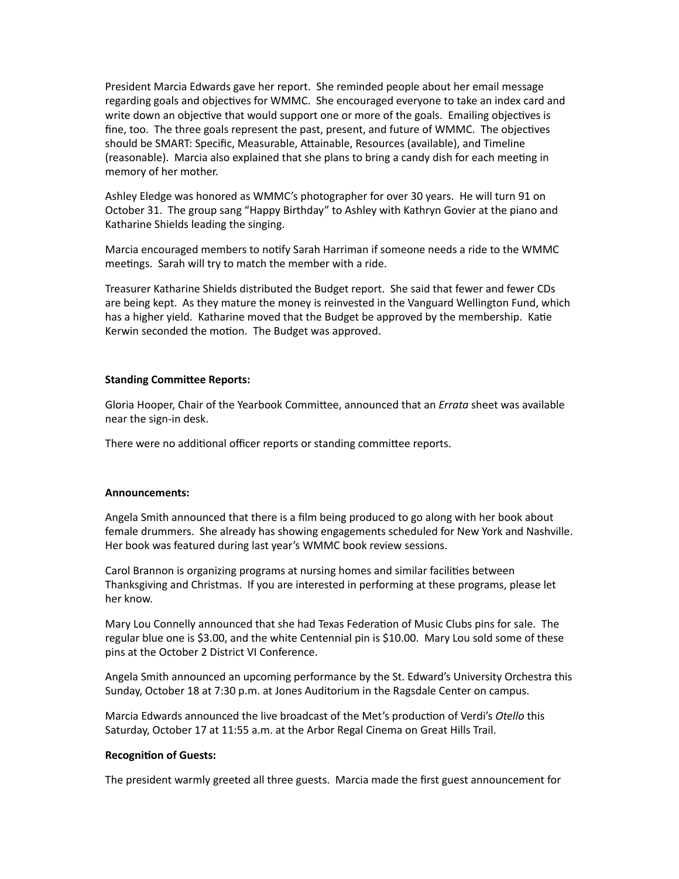President Marcia Edwards gave her report. She reminded people about her email message regarding goals and objectives for WMMC. She encouraged everyone to take an index card and write down an objective that would support one or more of the goals. Emailing objectives is fine, too. The three goals represent the past, present, and future of WMMC. The objectives should be SMART: Specific, Measurable, Attainable, Resources (available), and Timeline (reasonable). Marcia also explained that she plans to bring a candy dish for each meeting in memory of her mother.

Ashley Eledge was honored as WMMC's photographer for over 30 years. He will turn 91 on October 31. The group sang "Happy Birthday" to Ashley with Kathryn Govier at the piano and Katharine Shields leading the singing.

Marcia encouraged members to notify Sarah Harriman if someone needs a ride to the WMMC meetings. Sarah will try to match the member with a ride.

Treasurer Katharine Shields distributed the Budget report. She said that fewer and fewer CDs are being kept. As they mature the money is reinvested in the Vanguard Wellington Fund, which has a higher yield. Katharine moved that the Budget be approved by the membership. Katie Kerwin seconded the motion. The Budget was approved.

## **Standing Committee Reports:**

Gloria Hooper, Chair of the Yearbook Committee, announced that an *Errata* sheet was available near the sign-in desk.

There were no additional officer reports or standing committee reports.

#### **Announcements:**

Angela Smith announced that there is a film being produced to go along with her book about female drummers. She already has showing engagements scheduled for New York and Nashville. Her book was featured during last year's WMMC book review sessions.

Carol Brannon is organizing programs at nursing homes and similar facilities between Thanksgiving and Christmas. If you are interested in performing at these programs, please let her know.

Mary Lou Connelly announced that she had Texas Federation of Music Clubs pins for sale. The regular blue one is \$3.00, and the white Centennial pin is \$10.00. Mary Lou sold some of these pins at the October 2 District VI Conference.

Angela Smith announced an upcoming performance by the St. Edward's University Orchestra this Sunday, October 18 at 7:30 p.m. at Jones Auditorium in the Ragsdale Center on campus.

Marcia Edwards announced the live broadcast of the Met's production of Verdi's Otello this Saturday, October 17 at 11:55 a.m. at the Arbor Regal Cinema on Great Hills Trail.

#### **Recognition of Guests:**

The president warmly greeted all three guests. Marcia made the first guest announcement for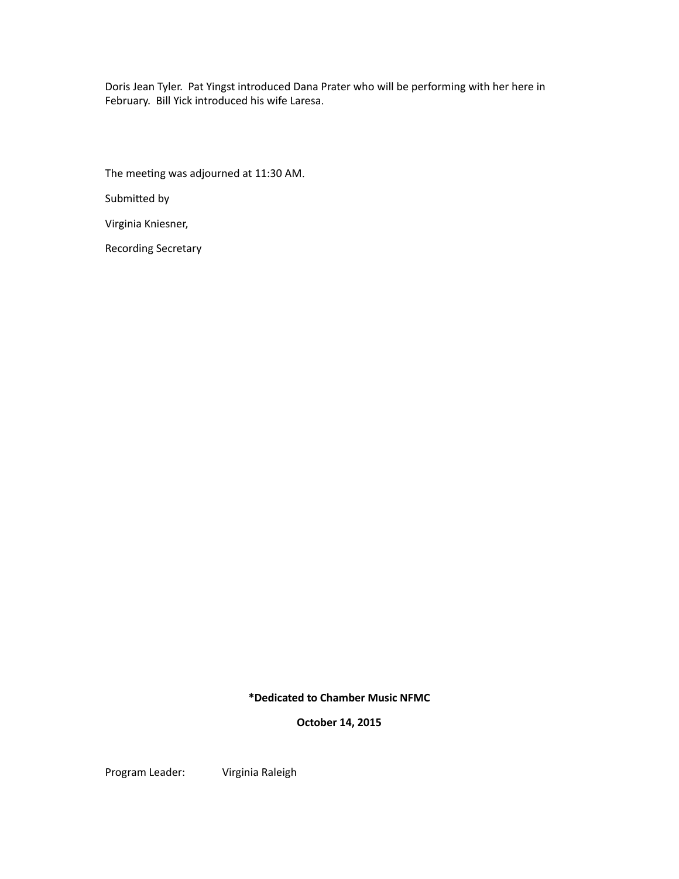Doris Jean Tyler. Pat Yingst introduced Dana Prater who will be performing with her here in February. Bill Yick introduced his wife Laresa.

The meeting was adjourned at 11:30 AM.

Submitted by

Virginia Kniesner,

Recording Secretary

**\*Dedicated to Chamber Music NFMC**

**October 14, 2015**

Program Leader: Virginia Raleigh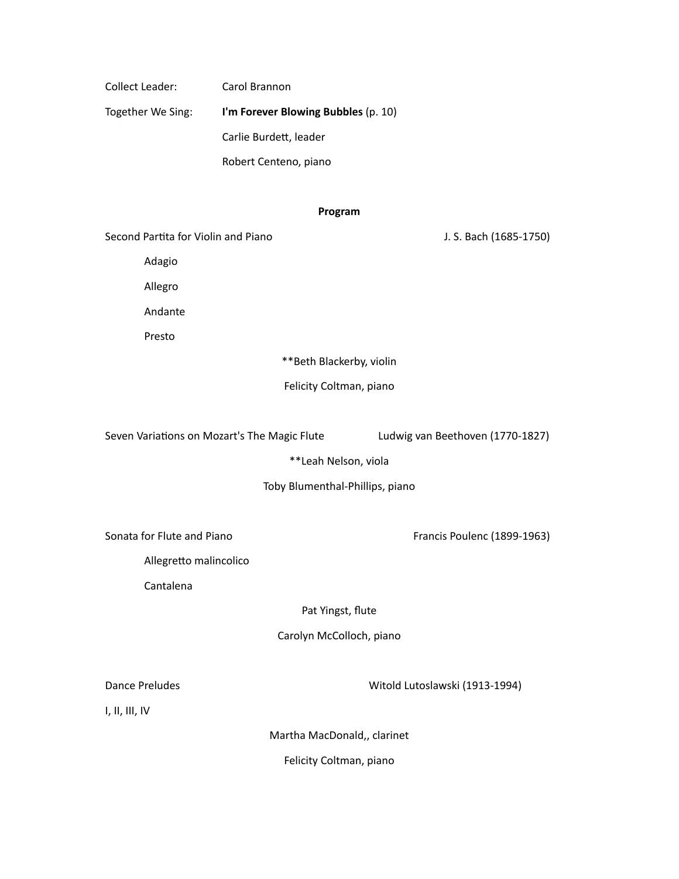Collect Leader: Carol Brannon

Together We Sing: **I'm Forever Blowing Bubbles** (p. 10)

Carlie Burdett, leader

Robert Centeno, piano

# **Program**

Second Par3ta for Violin and Piano J. S. Bach (1685-1750) 

Adagio

Allegro

Andante

Presto

\*\*Beth Blackerby, violin

Felicity Coltman, piano

Seven Variations on Mozart's The Magic Flute Ludwig van Beethoven (1770-1827)

\*\*Leah Nelson, viola

Toby Blumenthal-Phillips, piano

Sonata for Flute and Piano **by Example 20** Francis Poulenc (1899-1963)

Allegretto malincolico

Cantalena

Pat Yingst, flute

Carolyn McColloch, piano

Dance Preludes **Dance Preludes Contract Contract Contract Contract Contract Contract Contract Contract Contract Contract Contract Contract Contract Contract Contract Contract Contract Contract Contract Contract Contract** 

I, II, III, IV

Martha MacDonald,, clarinet

Felicity Coltman, piano